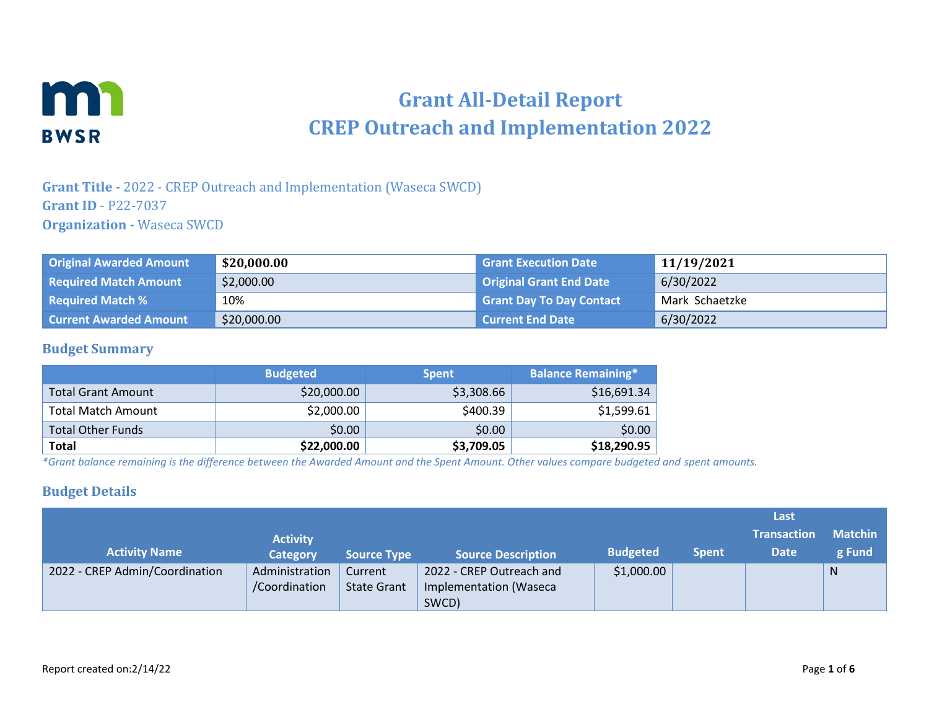

# **Grant All-Detail Report CREP Outreach and Implementation 2022**

**Grant Title -** 2022 - CREP Outreach and Implementation (Waseca SWCD) **Grant ID** - P22-7037 **Organization -** Waseca SWCD

| <b>Original Awarded Amount</b> | \$20,000.00 | <b>Grant Execution Date</b>     | 11/19/2021     |
|--------------------------------|-------------|---------------------------------|----------------|
| <b>Required Match Amount</b>   | \$2,000.00  | <b>Original Grant End Date</b>  | 6/30/2022      |
| <b>Required Match %</b>        | 10%         | <b>Grant Day To Day Contact</b> | Mark Schaetzke |
| <b>Current Awarded Amount</b>  | \$20,000.00 | <b>Current End Date</b>         | 6/30/2022      |

### **Budget Summary**

|                           | <b>Budgeted</b> | <b>Spent</b> | <b>Balance Remaining*</b> |
|---------------------------|-----------------|--------------|---------------------------|
| <b>Total Grant Amount</b> | \$20,000.00     | \$3,308.66   | \$16,691.34               |
| <b>Total Match Amount</b> | \$2,000.00      | \$400.39     | \$1,599.61                |
| <b>Total Other Funds</b>  | \$0.00          | \$0.00       | \$0.00                    |
| Total                     | \$22,000.00     | \$3,709.05   | \$18,290.95               |

*\*Grant balance remaining is the difference between the Awarded Amount and the Spent Amount. Other values compare budgeted and spent amounts.*

### **Budget Details**

|                                |                 |                    |                           |                 |              | Last               |                |
|--------------------------------|-----------------|--------------------|---------------------------|-----------------|--------------|--------------------|----------------|
|                                | <b>Activity</b> |                    |                           |                 |              | <b>Transaction</b> | <b>Matchin</b> |
| <b>Activity Name</b>           | <b>Category</b> | <b>Source Type</b> | <b>Source Description</b> | <b>Budgeted</b> | <b>Spent</b> | <b>Date</b>        | g Fund         |
| 2022 - CREP Admin/Coordination | Administration  | Current            | 2022 - CREP Outreach and  | \$1,000.00      |              |                    | N              |
|                                | /Coordination   | <b>State Grant</b> | Implementation (Waseca    |                 |              |                    |                |
|                                |                 |                    | SWCD)                     |                 |              |                    |                |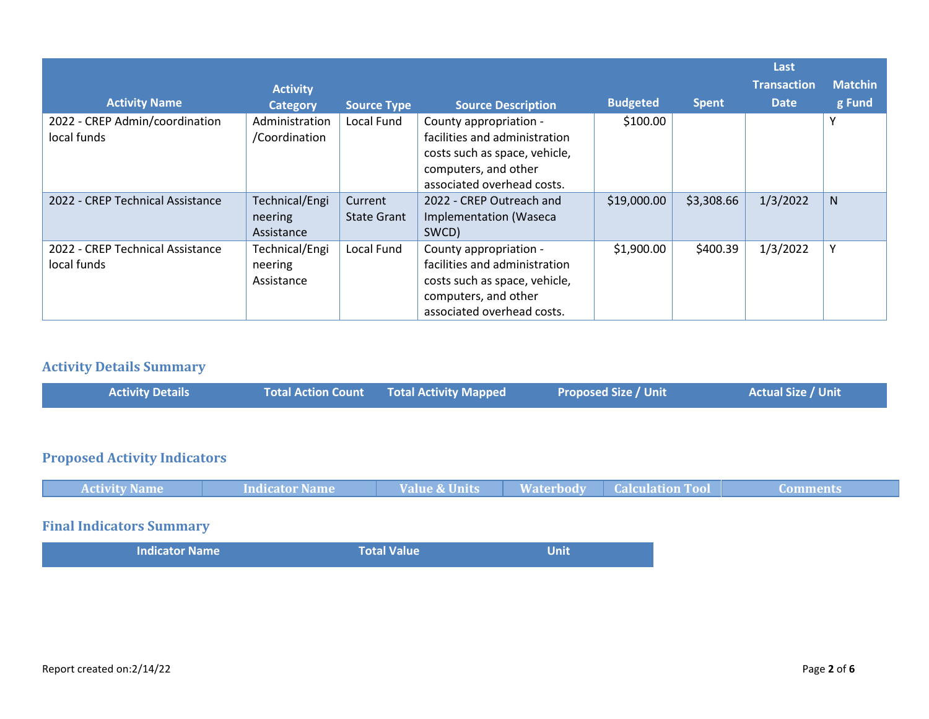|                                                 |                                         |                               |                                                                                                                                                |                 |              | Last               |                |
|-------------------------------------------------|-----------------------------------------|-------------------------------|------------------------------------------------------------------------------------------------------------------------------------------------|-----------------|--------------|--------------------|----------------|
|                                                 | <b>Activity</b>                         |                               |                                                                                                                                                |                 |              | <b>Transaction</b> | <b>Matchin</b> |
| <b>Activity Name</b>                            | <b>Category</b>                         | <b>Source Type</b>            | <b>Source Description</b>                                                                                                                      | <b>Budgeted</b> | <b>Spent</b> | <b>Date</b>        | g Fund         |
| 2022 - CREP Admin/coordination<br>local funds   | Administration<br>/Coordination         | Local Fund                    | County appropriation -<br>facilities and administration<br>costs such as space, vehicle,<br>computers, and other<br>associated overhead costs. | \$100.00        |              |                    | Υ              |
| 2022 - CREP Technical Assistance                | Technical/Engi<br>neering<br>Assistance | Current<br><b>State Grant</b> | 2022 - CREP Outreach and<br>Implementation (Waseca<br>SWCD)                                                                                    | \$19,000.00     | \$3,308.66   | 1/3/2022           | N              |
| 2022 - CREP Technical Assistance<br>local funds | Technical/Engi<br>neering<br>Assistance | Local Fund                    | County appropriation -<br>facilities and administration<br>costs such as space, vehicle,<br>computers, and other<br>associated overhead costs. | \$1,900.00      | \$400.39     | 1/3/2022           | Υ              |

# **Activity Details Summary**

| <b>Activity Details</b> | Total Action Count Total Activity Mapped | <b>Proposed Size / Unit</b> | <b>Actual Size / Unit</b> |
|-------------------------|------------------------------------------|-----------------------------|---------------------------|
|-------------------------|------------------------------------------|-----------------------------|---------------------------|

# **Proposed Activity Indicators**

| <b>Activity Name</b> | Indicator Name | <b>Value &amp; Units</b> | <b>Waterbody Calculation Tool</b> | Comments. |
|----------------------|----------------|--------------------------|-----------------------------------|-----------|
|                      |                |                          |                                   |           |

# **Final Indicators Summary**

| <b>Indicator Name</b> | Total Value | <b>Unit</b> |
|-----------------------|-------------|-------------|
|                       |             |             |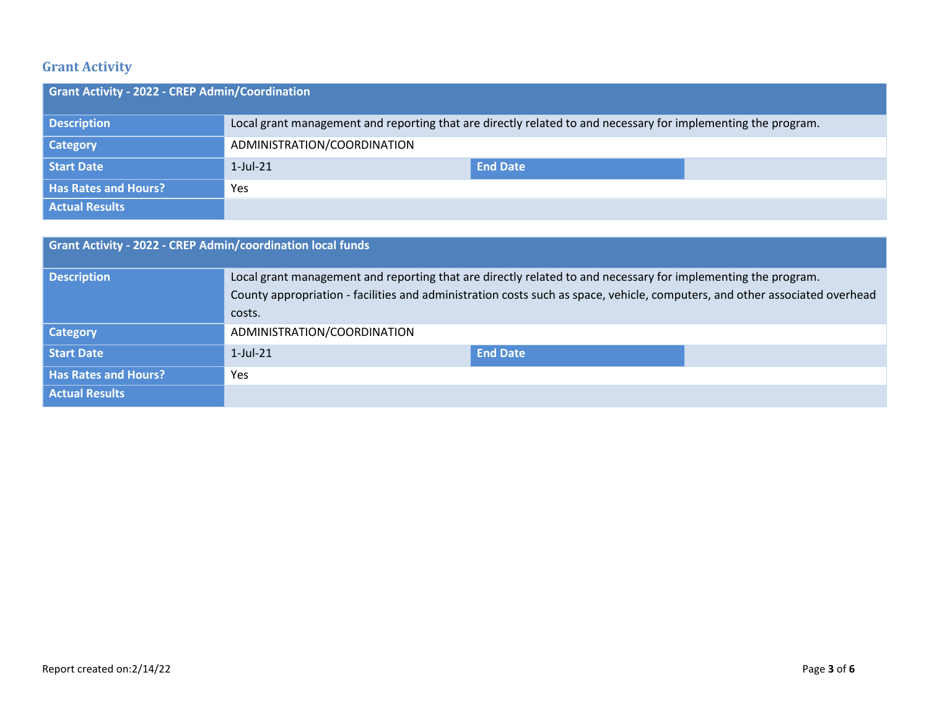# **Grant Activity**

| <b>Grant Activity - 2022 - CREP Admin/Coordination</b> |                                                                                                               |                 |  |  |  |
|--------------------------------------------------------|---------------------------------------------------------------------------------------------------------------|-----------------|--|--|--|
| <b>Description</b>                                     | Local grant management and reporting that are directly related to and necessary for implementing the program. |                 |  |  |  |
| <b>Category</b>                                        | ADMINISTRATION/COORDINATION                                                                                   |                 |  |  |  |
| Start Date                                             | $1$ -Jul-21                                                                                                   | <b>End Date</b> |  |  |  |
| <b>Has Rates and Hours?</b>                            | Yes                                                                                                           |                 |  |  |  |
| <b>Actual Results</b>                                  |                                                                                                               |                 |  |  |  |

| <b>Grant Activity - 2022 - CREP Admin/coordination local funds</b> |                                                                                                                                                                                                                                                        |                 |  |  |  |
|--------------------------------------------------------------------|--------------------------------------------------------------------------------------------------------------------------------------------------------------------------------------------------------------------------------------------------------|-----------------|--|--|--|
| <b>Description</b>                                                 | Local grant management and reporting that are directly related to and necessary for implementing the program.<br>County appropriation - facilities and administration costs such as space, vehicle, computers, and other associated overhead<br>costs. |                 |  |  |  |
| <b>Category</b>                                                    | ADMINISTRATION/COORDINATION                                                                                                                                                                                                                            |                 |  |  |  |
| Start Date                                                         | $1$ -Jul-21                                                                                                                                                                                                                                            | <b>End Date</b> |  |  |  |
| <b>Has Rates and Hours?</b>                                        | <b>Yes</b>                                                                                                                                                                                                                                             |                 |  |  |  |
| <b>Actual Results</b>                                              |                                                                                                                                                                                                                                                        |                 |  |  |  |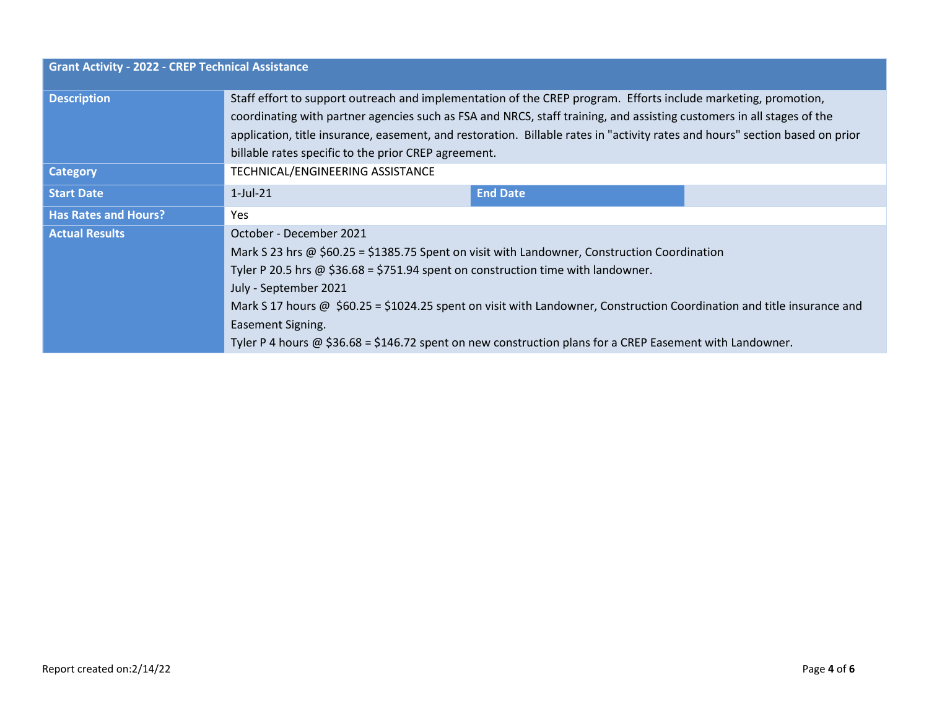| <b>Grant Activity - 2022 - CREP Technical Assistance</b> |                                                                                                                                                                                                                                                                                                                                                                                                                                 |                                                                                                                        |  |  |  |  |
|----------------------------------------------------------|---------------------------------------------------------------------------------------------------------------------------------------------------------------------------------------------------------------------------------------------------------------------------------------------------------------------------------------------------------------------------------------------------------------------------------|------------------------------------------------------------------------------------------------------------------------|--|--|--|--|
| <b>Description</b>                                       | Staff effort to support outreach and implementation of the CREP program. Efforts include marketing, promotion,<br>coordinating with partner agencies such as FSA and NRCS, staff training, and assisting customers in all stages of the<br>application, title insurance, easement, and restoration. Billable rates in "activity rates and hours" section based on prior<br>billable rates specific to the prior CREP agreement. |                                                                                                                        |  |  |  |  |
| <b>Category</b>                                          | TECHNICAL/ENGINEERING ASSISTANCE                                                                                                                                                                                                                                                                                                                                                                                                |                                                                                                                        |  |  |  |  |
| <b>Start Date</b>                                        | $1$ -Jul-21                                                                                                                                                                                                                                                                                                                                                                                                                     | <b>End Date</b>                                                                                                        |  |  |  |  |
| <b>Has Rates and Hours?</b>                              | Yes.                                                                                                                                                                                                                                                                                                                                                                                                                            |                                                                                                                        |  |  |  |  |
| <b>Actual Results</b>                                    | October - December 2021                                                                                                                                                                                                                                                                                                                                                                                                         |                                                                                                                        |  |  |  |  |
|                                                          | Mark S 23 hrs @ \$60.25 = \$1385.75 Spent on visit with Landowner, Construction Coordination<br>Tyler P 20.5 hrs @ $$36.68 = $751.94$ spent on construction time with landowner.                                                                                                                                                                                                                                                |                                                                                                                        |  |  |  |  |
|                                                          | July - September 2021                                                                                                                                                                                                                                                                                                                                                                                                           |                                                                                                                        |  |  |  |  |
|                                                          |                                                                                                                                                                                                                                                                                                                                                                                                                                 | Mark S 17 hours @ \$60.25 = \$1024.25 spent on visit with Landowner, Construction Coordination and title insurance and |  |  |  |  |
|                                                          | Easement Signing.                                                                                                                                                                                                                                                                                                                                                                                                               |                                                                                                                        |  |  |  |  |
|                                                          | Tyler P 4 hours $\omega$ \$36.68 = \$146.72 spent on new construction plans for a CREP Easement with Landowner.                                                                                                                                                                                                                                                                                                                 |                                                                                                                        |  |  |  |  |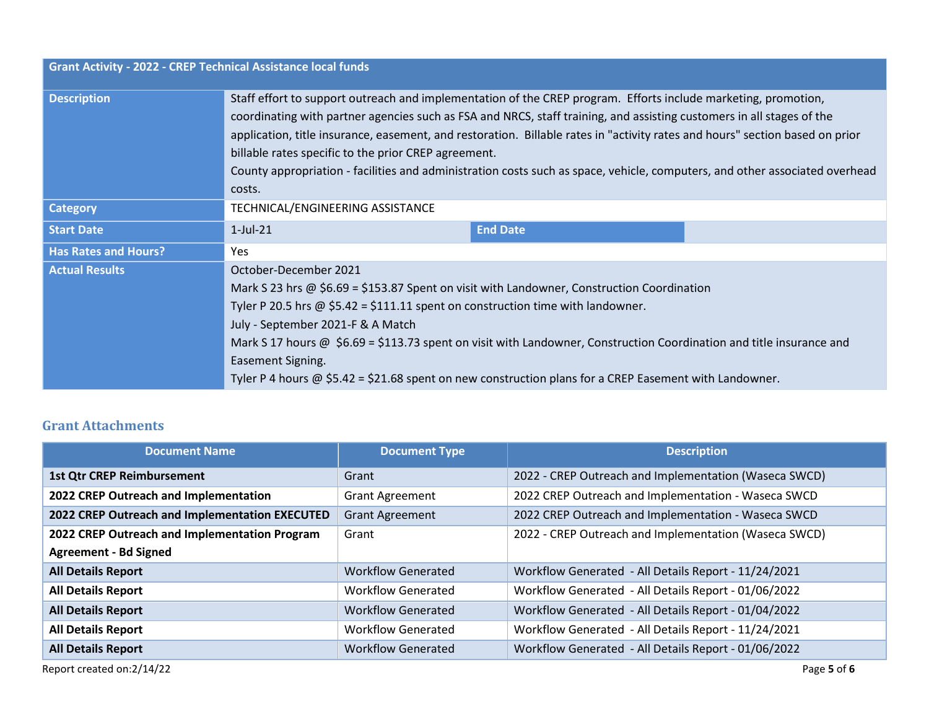| <b>Grant Activity - 2022 - CREP Technical Assistance local funds</b> |                                                                                                                                                                                                                                                                                                                                                                                                                                                                                                                                                                          |
|----------------------------------------------------------------------|--------------------------------------------------------------------------------------------------------------------------------------------------------------------------------------------------------------------------------------------------------------------------------------------------------------------------------------------------------------------------------------------------------------------------------------------------------------------------------------------------------------------------------------------------------------------------|
| <b>Description</b>                                                   | Staff effort to support outreach and implementation of the CREP program. Efforts include marketing, promotion,<br>coordinating with partner agencies such as FSA and NRCS, staff training, and assisting customers in all stages of the<br>application, title insurance, easement, and restoration. Billable rates in "activity rates and hours" section based on prior<br>billable rates specific to the prior CREP agreement.<br>County appropriation - facilities and administration costs such as space, vehicle, computers, and other associated overhead<br>costs. |
| <b>Category</b>                                                      | TECHNICAL/ENGINEERING ASSISTANCE                                                                                                                                                                                                                                                                                                                                                                                                                                                                                                                                         |
| <b>Start Date</b>                                                    | $1$ -Jul-21<br><b>End Date</b>                                                                                                                                                                                                                                                                                                                                                                                                                                                                                                                                           |
| <b>Has Rates and Hours?</b>                                          | Yes                                                                                                                                                                                                                                                                                                                                                                                                                                                                                                                                                                      |
| <b>Actual Results</b>                                                | October-December 2021                                                                                                                                                                                                                                                                                                                                                                                                                                                                                                                                                    |
|                                                                      | Mark S 23 hrs @ \$6.69 = \$153.87 Spent on visit with Landowner, Construction Coordination                                                                                                                                                                                                                                                                                                                                                                                                                                                                               |
|                                                                      | Tyler P 20.5 hrs $\omega$ \$5.42 = \$111.11 spent on construction time with landowner.                                                                                                                                                                                                                                                                                                                                                                                                                                                                                   |
|                                                                      | July - September 2021-F & A Match                                                                                                                                                                                                                                                                                                                                                                                                                                                                                                                                        |
|                                                                      | Mark S 17 hours @ \$6.69 = \$113.73 spent on visit with Landowner, Construction Coordination and title insurance and                                                                                                                                                                                                                                                                                                                                                                                                                                                     |
|                                                                      | Easement Signing.                                                                                                                                                                                                                                                                                                                                                                                                                                                                                                                                                        |
|                                                                      | Tyler P 4 hours $\omega$ \$5.42 = \$21.68 spent on new construction plans for a CREP Easement with Landowner.                                                                                                                                                                                                                                                                                                                                                                                                                                                            |

### **Grant Attachments**

| <b>Document Name</b>                           | <b>Document Type</b>      | <b>Description</b>                                    |
|------------------------------------------------|---------------------------|-------------------------------------------------------|
| <b>1st Qtr CREP Reimbursement</b>              | Grant                     | 2022 - CREP Outreach and Implementation (Waseca SWCD) |
| 2022 CREP Outreach and Implementation          | <b>Grant Agreement</b>    | 2022 CREP Outreach and Implementation - Waseca SWCD   |
| 2022 CREP Outreach and Implementation EXECUTED | <b>Grant Agreement</b>    | 2022 CREP Outreach and Implementation - Waseca SWCD   |
| 2022 CREP Outreach and Implementation Program  | Grant                     | 2022 - CREP Outreach and Implementation (Waseca SWCD) |
| <b>Agreement - Bd Signed</b>                   |                           |                                                       |
| <b>All Details Report</b>                      | <b>Workflow Generated</b> | Workflow Generated - All Details Report - 11/24/2021  |
| <b>All Details Report</b>                      | <b>Workflow Generated</b> | Workflow Generated - All Details Report - 01/06/2022  |
| <b>All Details Report</b>                      | <b>Workflow Generated</b> | Workflow Generated - All Details Report - 01/04/2022  |
| <b>All Details Report</b>                      | <b>Workflow Generated</b> | Workflow Generated - All Details Report - 11/24/2021  |
| <b>All Details Report</b>                      | <b>Workflow Generated</b> | Workflow Generated - All Details Report - 01/06/2022  |
| Report created on:2/14/22                      |                           | Page 5 of 6                                           |